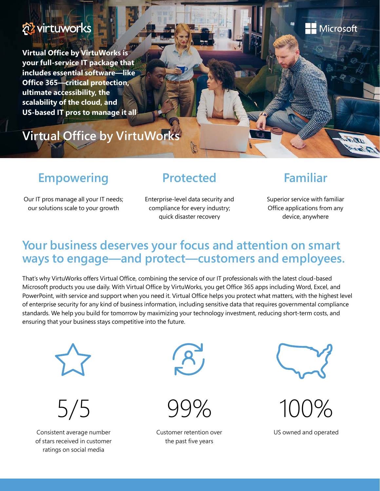

**Virtual Office by VirtuWorks is your full-service IT package that includes essential software—like Office 365—critical protection, ultimate accessibility, the scalability of the cloud, and US-based IT pros to manage it all**

# **Virtual Office by VirtuWorks**

## **Empowering**

#### **Protected**

### **Familiar**

**H** Microsoft

als de

Our IT pros manage all your IT needs; our solutions scale to your growth

Enterprise-level data security and compliance for every industry; quick disaster recovery

Superior service with familiar Office applications from any device, anywhere

#### **Your business deserves your focus and attention on smart ways to engage—and protect—customers and employees.**

That's why VirtuWorks offers Virtual Office, combining the service of our IT professionals with the latest cloud-based Microsoft products you use daily. With Virtual Office by VirtuWorks, you get Office 365 apps including Word, Excel, and PowerPoint, with service and support when you need it. Virtual Office helps you protect what matters, with the highest level of enterprise security for any kind of business information, including sensitive data that requires governmental compliance standards. We help you build for tomorrow by maximizing your technology investment, reducing short-term costs, and ensuring that your business stays competitive into the future.



Consistent average number of stars received in customer ratings on social media











US owned and operated